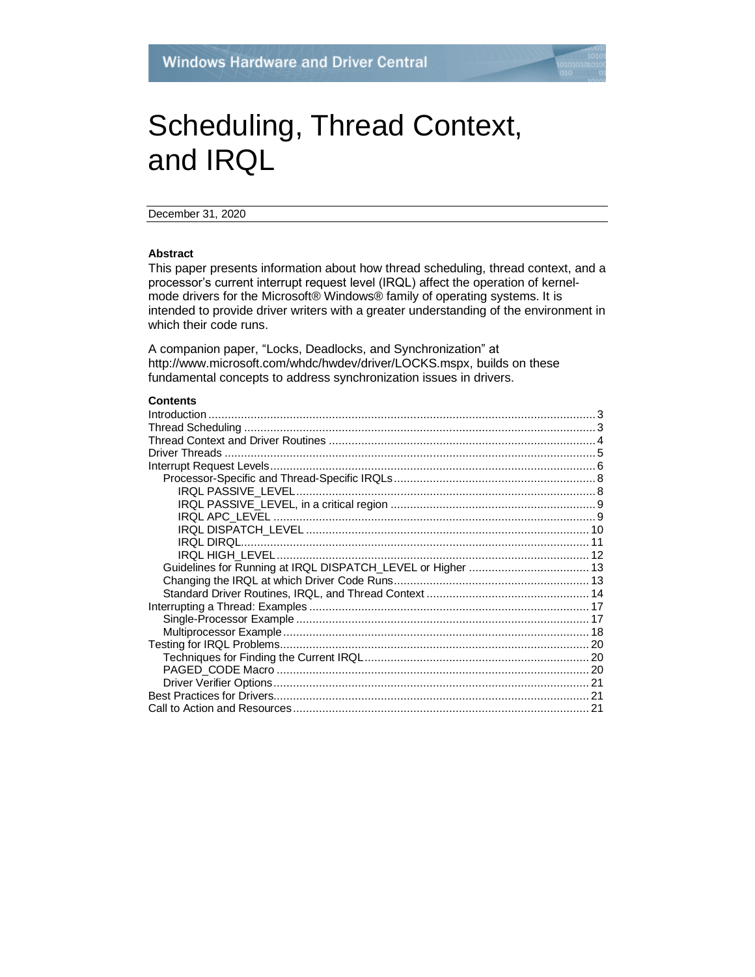# Scheduling, Thread Context, and IRQL

December 31, 2020

#### **Abstract**

This paper presents information about how thread scheduling, thread context, and a processor's current interrupt request level (IRQL) affect the operation of kernelmode drivers for the Microsoft® Windows® family of operating systems. It is intended to provide driver writers with a greater understanding of the environment in which their code runs.

A companion paper, "Locks, Deadlocks, and Synchronization" at http://www.microsoft.com/whdc/hwdev/driver/LOCKS.mspx, builds on these fundamental concepts to address synchronization issues in drivers.

#### **Contents**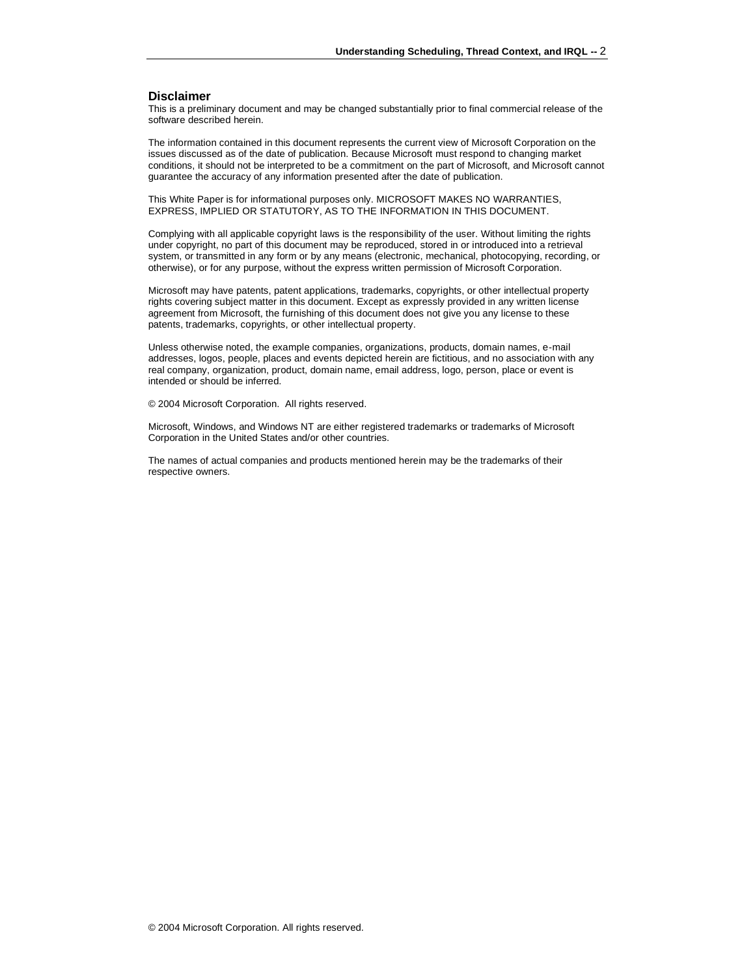#### **Disclaimer**

This is a preliminary document and may be changed substantially prior to final commercial release of the software described herein.

The information contained in this document represents the current view of Microsoft Corporation on the issues discussed as of the date of publication. Because Microsoft must respond to changing market conditions, it should not be interpreted to be a commitment on the part of Microsoft, and Microsoft cannot guarantee the accuracy of any information presented after the date of publication.

This White Paper is for informational purposes only. MICROSOFT MAKES NO WARRANTIES, EXPRESS, IMPLIED OR STATUTORY, AS TO THE INFORMATION IN THIS DOCUMENT.

Complying with all applicable copyright laws is the responsibility of the user. Without limiting the rights under copyright, no part of this document may be reproduced, stored in or introduced into a retrieval system, or transmitted in any form or by any means (electronic, mechanical, photocopying, recording, or otherwise), or for any purpose, without the express written permission of Microsoft Corporation.

Microsoft may have patents, patent applications, trademarks, copyrights, or other intellectual property rights covering subject matter in this document. Except as expressly provided in any written license agreement from Microsoft, the furnishing of this document does not give you any license to these patents, trademarks, copyrights, or other intellectual property.

Unless otherwise noted, the example companies, organizations, products, domain names, e-mail addresses, logos, people, places and events depicted herein are fictitious, and no association with any real company, organization, product, domain name, email address, logo, person, place or event is intended or should be inferred.

© 2004 Microsoft Corporation. All rights reserved.

Microsoft, Windows, and Windows NT are either registered trademarks or trademarks of Microsoft Corporation in the United States and/or other countries.

The names of actual companies and products mentioned herein may be the trademarks of their respective owners.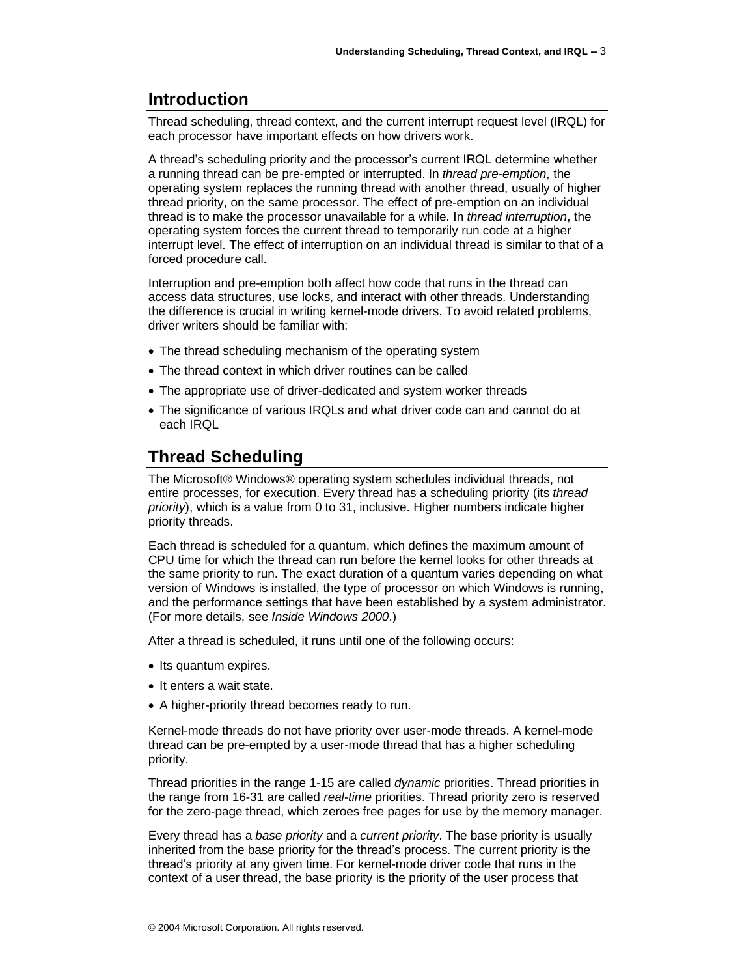# <span id="page-2-0"></span>**Introduction**

Thread scheduling, thread context, and the current interrupt request level (IRQL) for each processor have important effects on how drivers work.

A thread's scheduling priority and the processor's current IRQL determine whether a running thread can be pre-empted or interrupted. In *thread pre-emption*, the operating system replaces the running thread with another thread, usually of higher thread priority, on the same processor. The effect of pre-emption on an individual thread is to make the processor unavailable for a while. In *thread interruption*, the operating system forces the current thread to temporarily run code at a higher interrupt level. The effect of interruption on an individual thread is similar to that of a forced procedure call.

Interruption and pre-emption both affect how code that runs in the thread can access data structures, use locks, and interact with other threads. Understanding the difference is crucial in writing kernel-mode drivers. To avoid related problems, driver writers should be familiar with:

- The thread scheduling mechanism of the operating system
- The thread context in which driver routines can be called
- The appropriate use of driver-dedicated and system worker threads
- The significance of various IRQLs and what driver code can and cannot do at each IRQL

# <span id="page-2-1"></span>**Thread Scheduling**

The Microsoft® Windows® operating system schedules individual threads, not entire processes, for execution. Every thread has a scheduling priority (its *thread priority*), which is a value from 0 to 31, inclusive. Higher numbers indicate higher priority threads.

Each thread is scheduled for a quantum, which defines the maximum amount of CPU time for which the thread can run before the kernel looks for other threads at the same priority to run. The exact duration of a quantum varies depending on what version of Windows is installed, the type of processor on which Windows is running, and the performance settings that have been established by a system administrator. (For more details, see *Inside Windows 2000*.)

After a thread is scheduled, it runs until one of the following occurs:

- Its quantum expires.
- It enters a wait state.
- A higher-priority thread becomes ready to run.

Kernel-mode threads do not have priority over user-mode threads. A kernel-mode thread can be pre-empted by a user-mode thread that has a higher scheduling priority.

Thread priorities in the range 1-15 are called *dynamic* priorities. Thread priorities in the range from 16-31 are called *real-time* priorities. Thread priority zero is reserved for the zero-page thread, which zeroes free pages for use by the memory manager.

Every thread has a *base priority* and a *current priority*. The base priority is usually inherited from the base priority for the thread's process. The current priority is the thread's priority at any given time. For kernel-mode driver code that runs in the context of a user thread, the base priority is the priority of the user process that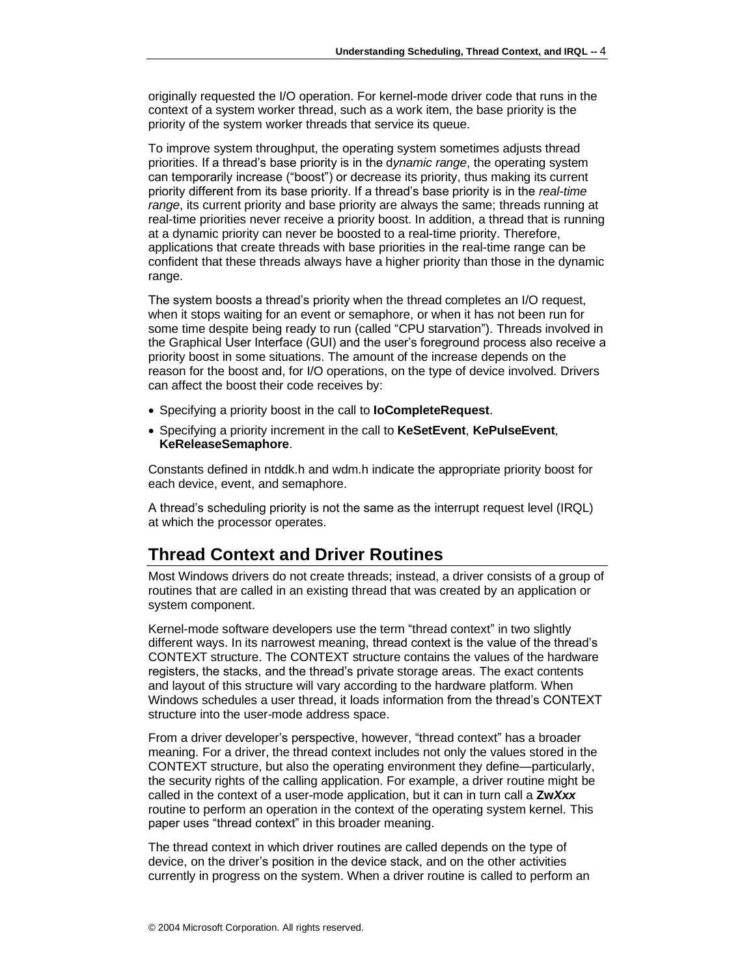originally requested the I/O operation. For kernel-mode driver code that runs in the context of a system worker thread, such as a work item, the base priority is the priority of the system worker threads that service its queue.

To improve system throughput, the operating system sometimes adjusts thread priorities. If a thread's base priority is in the d*ynamic range*, the operating system can temporarily increase ("boost") or decrease its priority, thus making its current priority different from its base priority. If a thread's base priority is in the *real-time range*, its current priority and base priority are always the same; threads running at real-time priorities never receive a priority boost. In addition, a thread that is running at a dynamic priority can never be boosted to a real-time priority. Therefore, applications that create threads with base priorities in the real-time range can be confident that these threads always have a higher priority than those in the dynamic range.

The system boosts a thread's priority when the thread completes an I/O request, when it stops waiting for an event or semaphore, or when it has not been run for some time despite being ready to run (called "CPU starvation"). Threads involved in the Graphical User Interface (GUI) and the user's foreground process also receive a priority boost in some situations. The amount of the increase depends on the reason for the boost and, for I/O operations, on the type of device involved. Drivers can affect the boost their code receives by:

- Specifying a priority boost in the call to **IoCompleteRequest**.
- Specifying a priority increment in the call to **KeSetEvent**, **KePulseEvent**, **KeReleaseSemaphore**.

Constants defined in ntddk.h and wdm.h indicate the appropriate priority boost for each device, event, and semaphore.

A thread's scheduling priority is not the same as the interrupt request level (IRQL) at which the processor operates.

# <span id="page-3-0"></span>**Thread Context and Driver Routines**

Most Windows drivers do not create threads; instead, a driver consists of a group of routines that are called in an existing thread that was created by an application or system component.

Kernel-mode software developers use the term "thread context" in two slightly different ways. In its narrowest meaning, thread context is the value of the thread's CONTEXT structure. The CONTEXT structure contains the values of the hardware registers, the stacks, and the thread's private storage areas. The exact contents and layout of this structure will vary according to the hardware platform. When Windows schedules a user thread, it loads information from the thread's CONTEXT structure into the user-mode address space.

From a driver developer's perspective, however, "thread context" has a broader meaning. For a driver, the thread context includes not only the values stored in the CONTEXT structure, but also the operating environment they define—particularly, the security rights of the calling application. For example, a driver routine might be called in the context of a user-mode application, but it can in turn call a **Zw***Xxx* routine to perform an operation in the context of the operating system kernel. This paper uses "thread context" in this broader meaning.

The thread context in which driver routines are called depends on the type of device, on the driver's position in the device stack, and on the other activities currently in progress on the system. When a driver routine is called to perform an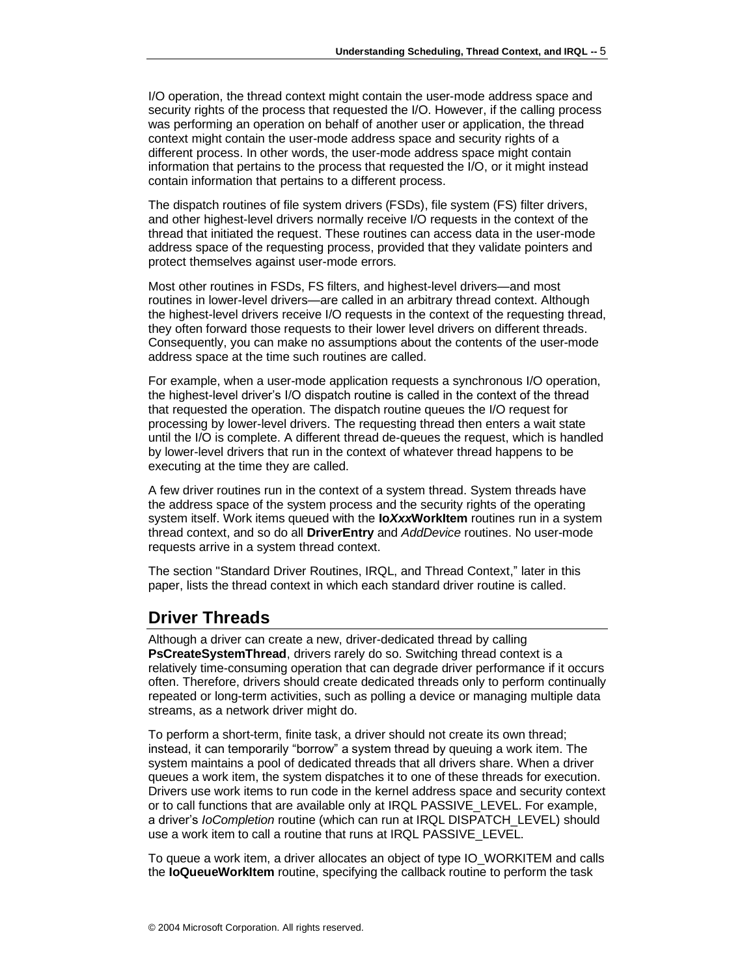I/O operation, the thread context might contain the user-mode address space and security rights of the process that requested the I/O. However, if the calling process was performing an operation on behalf of another user or application, the thread context might contain the user-mode address space and security rights of a different process. In other words, the user-mode address space might contain information that pertains to the process that requested the I/O, or it might instead contain information that pertains to a different process.

The dispatch routines of file system drivers (FSDs), file system (FS) filter drivers, and other highest-level drivers normally receive I/O requests in the context of the thread that initiated the request. These routines can access data in the user-mode address space of the requesting process, provided that they validate pointers and protect themselves against user-mode errors.

Most other routines in FSDs, FS filters, and highest-level drivers—and most routines in lower-level drivers—are called in an arbitrary thread context. Although the highest-level drivers receive I/O requests in the context of the requesting thread, they often forward those requests to their lower level drivers on different threads. Consequently, you can make no assumptions about the contents of the user-mode address space at the time such routines are called.

For example, when a user-mode application requests a synchronous I/O operation, the highest-level driver's I/O dispatch routine is called in the context of the thread that requested the operation. The dispatch routine queues the I/O request for processing by lower-level drivers. The requesting thread then enters a wait state until the I/O is complete. A different thread de-queues the request, which is handled by lower-level drivers that run in the context of whatever thread happens to be executing at the time they are called.

A few driver routines run in the context of a system thread. System threads have the address space of the system process and the security rights of the operating system itself. Work items queued with the **Io***Xxx***WorkItem** routines run in a system thread context, and so do all **DriverEntry** and *AddDevice* routines. No user-mode requests arrive in a system thread context.

The section ["Standard Driver Routines, IRQL, and Thread Context,](#page-13-0)" later in this paper, lists the thread context in which each standard driver routine is called.

### <span id="page-4-0"></span>**Driver Threads**

Although a driver can create a new, driver-dedicated thread by calling **PsCreateSystemThread**, drivers rarely do so. Switching thread context is a relatively time-consuming operation that can degrade driver performance if it occurs often. Therefore, drivers should create dedicated threads only to perform continually repeated or long-term activities, such as polling a device or managing multiple data streams, as a network driver might do.

To perform a short-term, finite task, a driver should not create its own thread; instead, it can temporarily "borrow" a system thread by queuing a work item. The system maintains a pool of dedicated threads that all drivers share. When a driver queues a work item, the system dispatches it to one of these threads for execution. Drivers use work items to run code in the kernel address space and security context or to call functions that are available only at IRQL PASSIVE\_LEVEL. For example, a driver's *IoCompletion* routine (which can run at IRQL DISPATCH\_LEVEL) should use a work item to call a routine that runs at IRQL PASSIVE\_LEVEL.

To queue a work item, a driver allocates an object of type IO\_WORKITEM and calls the **IoQueueWorkItem** routine, specifying the callback routine to perform the task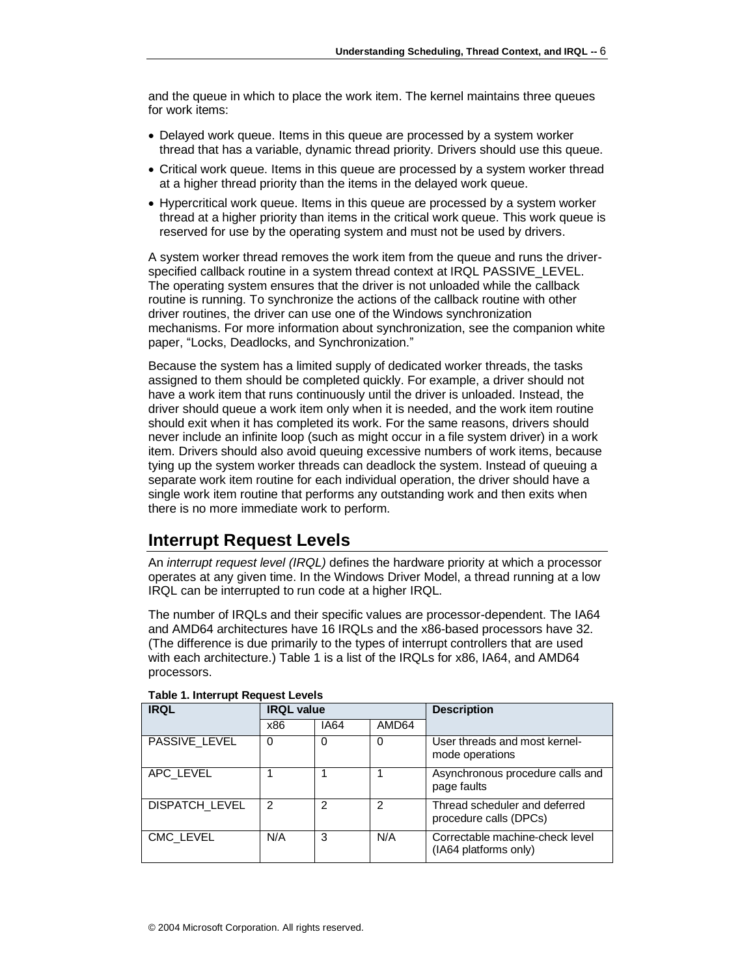and the queue in which to place the work item. The kernel maintains three queues for work items:

- Delayed work queue. Items in this queue are processed by a system worker thread that has a variable, dynamic thread priority. Drivers should use this queue.
- Critical work queue. Items in this queue are processed by a system worker thread at a higher thread priority than the items in the delayed work queue.
- Hypercritical work queue. Items in this queue are processed by a system worker thread at a higher priority than items in the critical work queue. This work queue is reserved for use by the operating system and must not be used by drivers.

A system worker thread removes the work item from the queue and runs the driverspecified callback routine in a system thread context at IRQL PASSIVE\_LEVEL. The operating system ensures that the driver is not unloaded while the callback routine is running. To synchronize the actions of the callback routine with other driver routines, the driver can use one of the Windows synchronization mechanisms. For more information about synchronization, see the companion white paper, "Locks, Deadlocks, and Synchronization."

Because the system has a limited supply of dedicated worker threads, the tasks assigned to them should be completed quickly. For example, a driver should not have a work item that runs continuously until the driver is unloaded. Instead, the driver should queue a work item only when it is needed, and the work item routine should exit when it has completed its work. For the same reasons, drivers should never include an infinite loop (such as might occur in a file system driver) in a work item. Drivers should also avoid queuing excessive numbers of work items, because tying up the system worker threads can deadlock the system. Instead of queuing a separate work item routine for each individual operation, the driver should have a single work item routine that performs any outstanding work and then exits when there is no more immediate work to perform.

# <span id="page-5-0"></span>**Interrupt Request Levels**

An *interrupt request level (IRQL)* defines the hardware priority at which a processor operates at any given time. In the Windows Driver Model, a thread running at a low IRQL can be interrupted to run code at a higher IRQL.

The number of IRQLs and their specific values are processor-dependent. The IA64 and AMD64 architectures have 16 IRQLs and the x86-based processors have 32. (The difference is due primarily to the types of interrupt controllers that are used with each architecture.) Table 1 is a list of the IRQLs for x86, IA64, and AMD64 processors.

| <b>IRQL</b>           | <b>IRQL</b> value |             |                | <b>Description</b>                                       |  |
|-----------------------|-------------------|-------------|----------------|----------------------------------------------------------|--|
|                       | x86               | <b>IA64</b> | AMD64          |                                                          |  |
| PASSIVE LEVEL         | $\Omega$          | 0           | 0              | User threads and most kernel-<br>mode operations         |  |
| APC LEVEL             |                   |             |                | Asynchronous procedure calls and<br>page faults          |  |
| <b>DISPATCH LEVEL</b> | 2                 | 2           | $\overline{2}$ | Thread scheduler and deferred<br>procedure calls (DPCs)  |  |
| CMC LEVEL             | N/A               | 3           | N/A            | Correctable machine-check level<br>(IA64 platforms only) |  |

#### **Table 1. Interrupt Request Levels**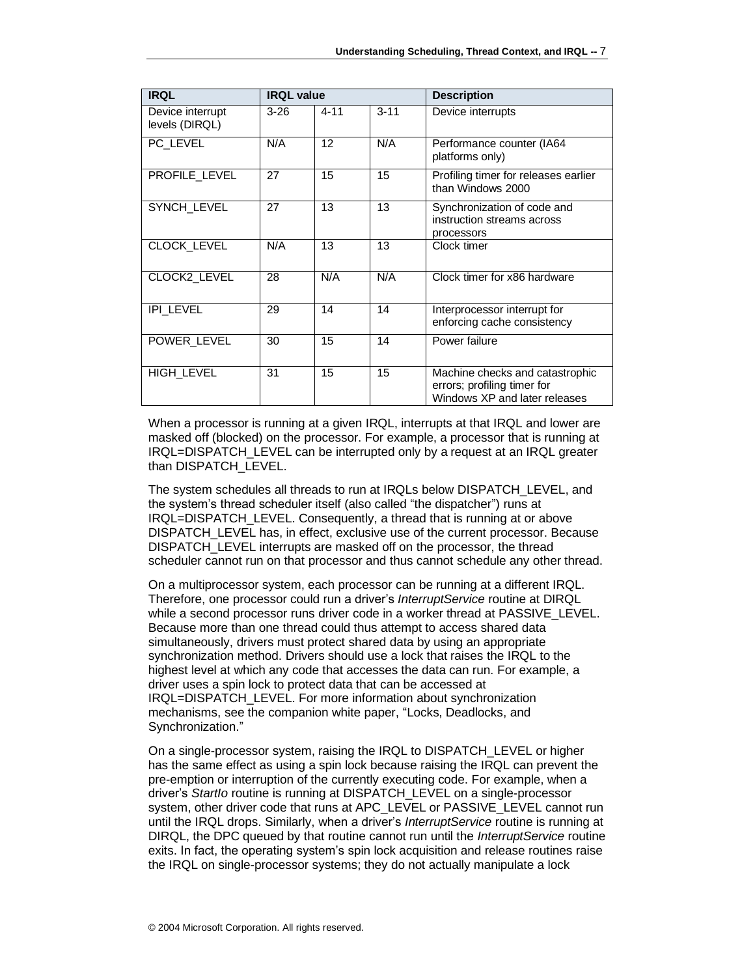| <b>IRQL</b>                        | <b>IRQL value</b> |                              |          | <b>Description</b>                                                                              |  |
|------------------------------------|-------------------|------------------------------|----------|-------------------------------------------------------------------------------------------------|--|
| Device interrupt<br>levels (DIRQL) | $3 - 26$          | $4 - 11$                     | $3 - 11$ | Device interrupts                                                                               |  |
| PC LEVEL                           | N/A               | N/A<br>12<br>platforms only) |          | Performance counter (IA64                                                                       |  |
| PROFILE LEVEL                      | 27                | 15                           | 15       | Profiling timer for releases earlier<br>than Windows 2000                                       |  |
| SYNCH_LEVEL                        | 27                | 13                           | 13       | Synchronization of code and<br>instruction streams across<br>processors                         |  |
| <b>CLOCK LEVEL</b>                 | N/A               | 13                           | 13       | Clock timer                                                                                     |  |
| CLOCK2_LEVEL                       | 28                | N/A                          | N/A      | Clock timer for x86 hardware                                                                    |  |
| <b>IPI_LEVEL</b>                   | 29                | 14                           | 14       | Interprocessor interrupt for<br>enforcing cache consistency                                     |  |
| POWER LEVEL                        | 30                | 15                           | 14       | Power failure                                                                                   |  |
| <b>HIGH_LEVEL</b>                  | 31                | 15                           | 15       | Machine checks and catastrophic<br>errors; profiling timer for<br>Windows XP and later releases |  |

When a processor is running at a given IRQL, interrupts at that IRQL and lower are masked off (blocked) on the processor. For example, a processor that is running at IRQL=DISPATCH\_LEVEL can be interrupted only by a request at an IRQL greater than DISPATCH\_LEVEL.

The system schedules all threads to run at IRQLs below DISPATCH\_LEVEL, and the system's thread scheduler itself (also called "the dispatcher") runs at IRQL=DISPATCH\_LEVEL. Consequently, a thread that is running at or above DISPATCH\_LEVEL has, in effect, exclusive use of the current processor. Because DISPATCH LEVEL interrupts are masked off on the processor, the thread scheduler cannot run on that processor and thus cannot schedule any other thread.

On a multiprocessor system, each processor can be running at a different IRQL. Therefore, one processor could run a driver's *InterruptService* routine at DIRQL while a second processor runs driver code in a worker thread at PASSIVE\_LEVEL. Because more than one thread could thus attempt to access shared data simultaneously, drivers must protect shared data by using an appropriate synchronization method. Drivers should use a lock that raises the IRQL to the highest level at which any code that accesses the data can run. For example, a driver uses a spin lock to protect data that can be accessed at IRQL=DISPATCH\_LEVEL. For more information about synchronization mechanisms, see the companion white paper, "Locks, Deadlocks, and Synchronization."

On a single-processor system, raising the IRQL to DISPATCH\_LEVEL or higher has the same effect as using a spin lock because raising the IRQL can prevent the pre-emption or interruption of the currently executing code. For example, when a driver's *StartIo* routine is running at DISPATCH\_LEVEL on a single-processor system, other driver code that runs at APC\_LEVEL or PASSIVE\_LEVEL cannot run until the IRQL drops. Similarly, when a driver's *InterruptService* routine is running at DIRQL, the DPC queued by that routine cannot run until the *InterruptService* routine exits. In fact, the operating system's spin lock acquisition and release routines raise the IRQL on single-processor systems; they do not actually manipulate a lock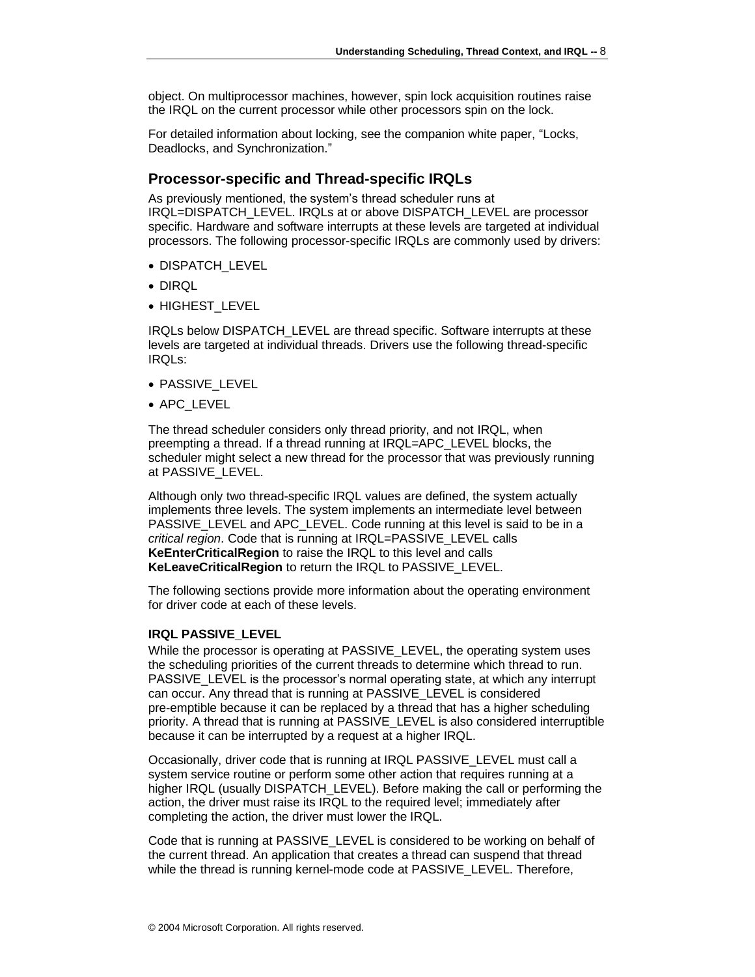object. On multiprocessor machines, however, spin lock acquisition routines raise the IRQL on the current processor while other processors spin on the lock.

For detailed information about locking, see the companion white paper, "Locks, Deadlocks, and Synchronization."

### <span id="page-7-0"></span>**Processor-specific and Thread-specific IRQLs**

As previously mentioned, the system's thread scheduler runs at IRQL=DISPATCH\_LEVEL. IRQLs at or above DISPATCH\_LEVEL are processor specific. Hardware and software interrupts at these levels are targeted at individual processors. The following processor-specific IRQLs are commonly used by drivers:

- DISPATCH\_LEVEL
- DIRQL
- HIGHEST\_LEVEL

IRQLs below DISPATCH\_LEVEL are thread specific. Software interrupts at these levels are targeted at individual threads. Drivers use the following thread-specific IRQLs:

- PASSIVE LEVEL
- APC\_LEVEL

The thread scheduler considers only thread priority, and not IRQL, when preempting a thread. If a thread running at IRQL=APC\_LEVEL blocks, the scheduler might select a new thread for the processor that was previously running at PASSIVE\_LEVEL.

Although only two thread-specific IRQL values are defined, the system actually implements three levels. The system implements an intermediate level between PASSIVE\_LEVEL and APC\_LEVEL. Code running at this level is said to be in a *critical region*. Code that is running at IRQL=PASSIVE\_LEVEL calls **KeEnterCriticalRegion** to raise the IRQL to this level and calls **KeLeaveCriticalRegion** to return the IRQL to PASSIVE\_LEVEL.

The following sections provide more information about the operating environment for driver code at each of these levels.

### <span id="page-7-1"></span>**IRQL PASSIVE\_LEVEL**

While the processor is operating at PASSIVE LEVEL, the operating system uses the scheduling priorities of the current threads to determine which thread to run. PASSIVE\_LEVEL is the processor's normal operating state, at which any interrupt can occur. Any thread that is running at PASSIVE\_LEVEL is considered pre-emptible because it can be replaced by a thread that has a higher scheduling priority. A thread that is running at PASSIVE\_LEVEL is also considered interruptible because it can be interrupted by a request at a higher IRQL.

Occasionally, driver code that is running at IRQL PASSIVE\_LEVEL must call a system service routine or perform some other action that requires running at a higher IRQL (usually DISPATCH\_LEVEL). Before making the call or performing the action, the driver must raise its IRQL to the required level; immediately after completing the action, the driver must lower the IRQL.

Code that is running at PASSIVE\_LEVEL is considered to be working on behalf of the current thread. An application that creates a thread can suspend that thread while the thread is running kernel-mode code at PASSIVE\_LEVEL. Therefore,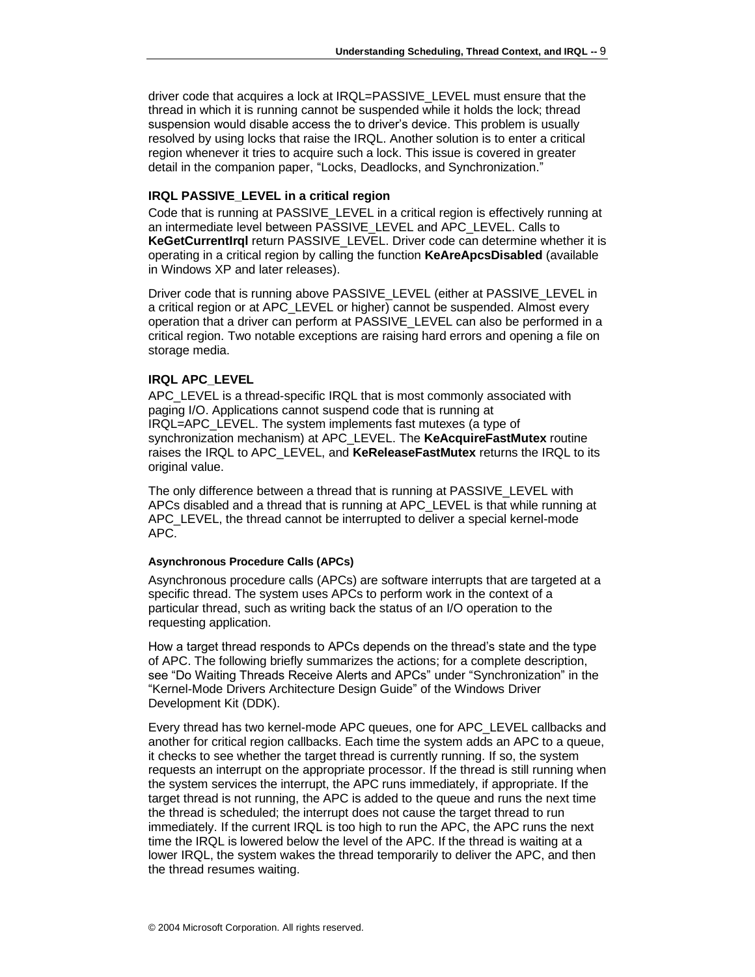driver code that acquires a lock at IRQL=PASSIVE\_LEVEL must ensure that the thread in which it is running cannot be suspended while it holds the lock; thread suspension would disable access the to driver's device. This problem is usually resolved by using locks that raise the IRQL. Another solution is to enter a critical region whenever it tries to acquire such a lock. This issue is covered in greater detail in the companion paper, "Locks, Deadlocks, and Synchronization."

### <span id="page-8-0"></span>**IRQL PASSIVE\_LEVEL in a critical region**

Code that is running at PASSIVE\_LEVEL in a critical region is effectively running at an intermediate level between PASSIVE\_LEVEL and APC\_LEVEL. Calls to **KeGetCurrentIrql** return PASSIVE\_LEVEL. Driver code can determine whether it is operating in a critical region by calling the function **KeAreApcsDisabled** (available in Windows XP and later releases).

Driver code that is running above PASSIVE\_LEVEL (either at PASSIVE\_LEVEL in a critical region or at APC\_LEVEL or higher) cannot be suspended. Almost every operation that a driver can perform at PASSIVE\_LEVEL can also be performed in a critical region. Two notable exceptions are raising hard errors and opening a file on storage media.

### <span id="page-8-1"></span>**IRQL APC\_LEVEL**

APC LEVEL is a thread-specific IRQL that is most commonly associated with paging I/O. Applications cannot suspend code that is running at IRQL=APC\_LEVEL. The system implements fast mutexes (a type of synchronization mechanism) at APC\_LEVEL. The **KeAcquireFastMutex** routine raises the IRQL to APC\_LEVEL, and **KeReleaseFastMutex** returns the IRQL to its original value.

The only difference between a thread that is running at PASSIVE LEVEL with APCs disabled and a thread that is running at APC\_LEVEL is that while running at APC LEVEL, the thread cannot be interrupted to deliver a special kernel-mode APC.

#### **Asynchronous Procedure Calls (APCs)**

Asynchronous procedure calls (APCs) are software interrupts that are targeted at a specific thread. The system uses APCs to perform work in the context of a particular thread, such as writing back the status of an I/O operation to the requesting application.

How a target thread responds to APCs depends on the thread's state and the type of APC. The following briefly summarizes the actions; for a complete description, see "Do Waiting Threads Receive Alerts and APCs" under "Synchronization" in the "Kernel-Mode Drivers Architecture Design Guide" of the Windows Driver Development Kit (DDK).

Every thread has two kernel-mode APC queues, one for APC\_LEVEL callbacks and another for critical region callbacks. Each time the system adds an APC to a queue, it checks to see whether the target thread is currently running. If so, the system requests an interrupt on the appropriate processor. If the thread is still running when the system services the interrupt, the APC runs immediately, if appropriate. If the target thread is not running, the APC is added to the queue and runs the next time the thread is scheduled; the interrupt does not cause the target thread to run immediately. If the current IRQL is too high to run the APC, the APC runs the next time the IRQL is lowered below the level of the APC. If the thread is waiting at a lower IRQL, the system wakes the thread temporarily to deliver the APC, and then the thread resumes waiting.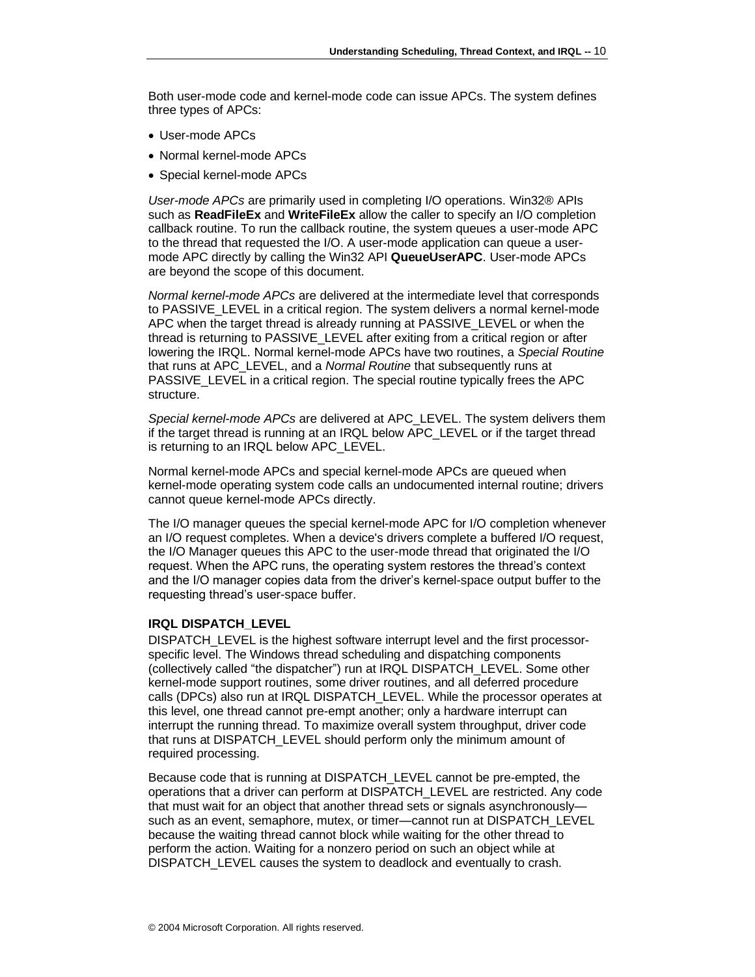Both user-mode code and kernel-mode code can issue APCs. The system defines three types of APCs:

- User-mode APCs
- Normal kernel-mode APCs
- Special kernel-mode APCs

*User-mode APCs* are primarily used in completing I/O operations. Win32® APIs such as **ReadFileEx** and **WriteFileEx** allow the caller to specify an I/O completion callback routine. To run the callback routine, the system queues a user-mode APC to the thread that requested the I/O. A user-mode application can queue a usermode APC directly by calling the Win32 API **QueueUserAPC**. User-mode APCs are beyond the scope of this document.

*Normal kernel-mode APCs* are delivered at the intermediate level that corresponds to PASSIVE\_LEVEL in a critical region. The system delivers a normal kernel-mode APC when the target thread is already running at PASSIVE\_LEVEL or when the thread is returning to PASSIVE\_LEVEL after exiting from a critical region or after lowering the IRQL. Normal kernel-mode APCs have two routines, a *Special Routine*  that runs at APC\_LEVEL, and a *Normal Routine* that subsequently runs at PASSIVE LEVEL in a critical region. The special routine typically frees the APC structure.

*Special kernel-mode APCs* are delivered at APC\_LEVEL. The system delivers them if the target thread is running at an IRQL below APC\_LEVEL or if the target thread is returning to an IRQL below APC\_LEVEL.

Normal kernel-mode APCs and special kernel-mode APCs are queued when kernel-mode operating system code calls an undocumented internal routine; drivers cannot queue kernel-mode APCs directly.

The I/O manager queues the special kernel-mode APC for I/O completion whenever an I/O request completes. When a device's drivers complete a buffered I/O request, the I/O Manager queues this APC to the user-mode thread that originated the I/O request. When the APC runs, the operating system restores the thread's context and the I/O manager copies data from the driver's kernel-space output buffer to the requesting thread's user-space buffer.

#### <span id="page-9-0"></span>**IRQL DISPATCH\_LEVEL**

DISPATCH\_LEVEL is the highest software interrupt level and the first processorspecific level. The Windows thread scheduling and dispatching components (collectively called "the dispatcher") run at IRQL DISPATCH\_LEVEL. Some other kernel-mode support routines, some driver routines, and all deferred procedure calls (DPCs) also run at IRQL DISPATCH\_LEVEL. While the processor operates at this level, one thread cannot pre-empt another; only a hardware interrupt can interrupt the running thread. To maximize overall system throughput, driver code that runs at DISPATCH\_LEVEL should perform only the minimum amount of required processing.

Because code that is running at DISPATCH\_LEVEL cannot be pre-empted, the operations that a driver can perform at DISPATCH\_LEVEL are restricted. Any code that must wait for an object that another thread sets or signals asynchronously such as an event, semaphore, mutex, or timer—cannot run at DISPATCH\_LEVEL because the waiting thread cannot block while waiting for the other thread to perform the action. Waiting for a nonzero period on such an object while at DISPATCH\_LEVEL causes the system to deadlock and eventually to crash.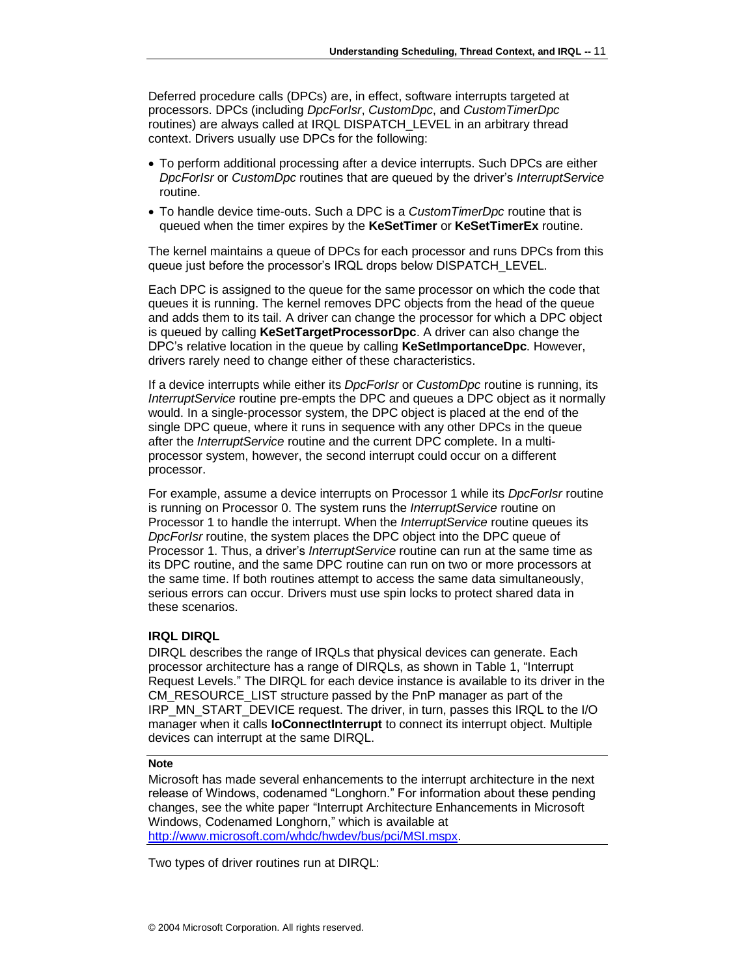Deferred procedure calls (DPCs) are, in effect, software interrupts targeted at processors. DPCs (including *DpcForIsr*, *CustomDpc*, and *CustomTimerDpc* routines) are always called at IRQL DISPATCH\_LEVEL in an arbitrary thread context. Drivers usually use DPCs for the following:

- To perform additional processing after a device interrupts. Such DPCs are either *DpcForIsr* or *CustomDpc* routines that are queued by the driver's *InterruptService* routine.
- To handle device time-outs. Such a DPC is a *CustomTimerDpc* routine that is queued when the timer expires by the **KeSetTimer** or **KeSetTimerEx** routine.

The kernel maintains a queue of DPCs for each processor and runs DPCs from this queue just before the processor's IRQL drops below DISPATCH\_LEVEL.

Each DPC is assigned to the queue for the same processor on which the code that queues it is running. The kernel removes DPC objects from the head of the queue and adds them to its tail. A driver can change the processor for which a DPC object is queued by calling **KeSetTargetProcessorDpc**. A driver can also change the DPC's relative location in the queue by calling **KeSetImportanceDpc**. However, drivers rarely need to change either of these characteristics.

If a device interrupts while either its *DpcForIsr* or *CustomDpc* routine is running, its *InterruptService* routine pre-empts the DPC and queues a DPC object as it normally would. In a single-processor system, the DPC object is placed at the end of the single DPC queue, where it runs in sequence with any other DPCs in the queue after the *InterruptService* routine and the current DPC complete. In a multiprocessor system, however, the second interrupt could occur on a different processor.

For example, assume a device interrupts on Processor 1 while its *DpcForIsr* routine is running on Processor 0. The system runs the *InterruptService* routine on Processor 1 to handle the interrupt. When the *InterruptService* routine queues its *DpcForIsr* routine, the system places the DPC object into the DPC queue of Processor 1. Thus, a driver's *InterruptService* routine can run at the same time as its DPC routine, and the same DPC routine can run on two or more processors at the same time. If both routines attempt to access the same data simultaneously, serious errors can occur. Drivers must use spin locks to protect shared data in these scenarios.

#### <span id="page-10-0"></span>**IRQL DIRQL**

DIRQL describes the range of IRQLs that physical devices can generate. Each processor architecture has a range of DIRQLs, as shown in Table 1, "Interrupt Request Levels." The DIRQL for each device instance is available to its driver in the CM\_RESOURCE\_LIST structure passed by the PnP manager as part of the IRP\_MN\_START\_DEVICE request. The driver, in turn, passes this IRQL to the I/O manager when it calls **IoConnectInterrupt** to connect its interrupt object. Multiple devices can interrupt at the same DIRQL.

#### **Note**

Microsoft has made several enhancements to the interrupt architecture in the next release of Windows, codenamed "Longhorn." For information about these pending changes, see the white paper "Interrupt Architecture Enhancements in Microsoft Windows, Codenamed Longhorn," which is available at http://www.microsoft.com/whdc/hwdev/bus/pci/MSI.mspx.

Two types of driver routines run at DIRQL: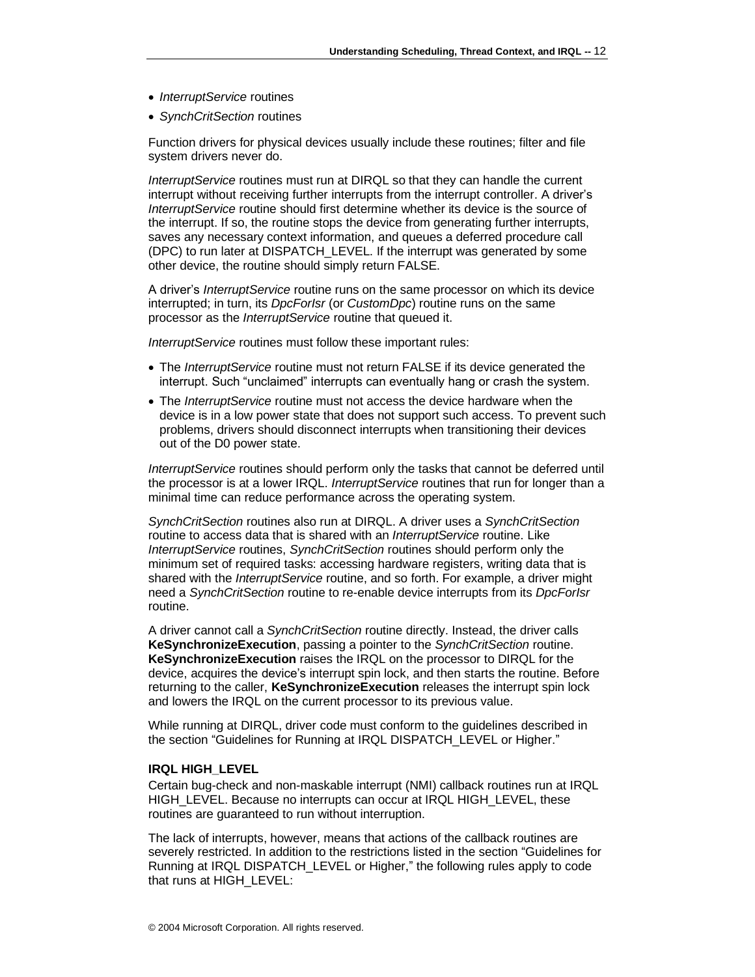- *InterruptService* routines
- *SynchCritSection* routines

Function drivers for physical devices usually include these routines; filter and file system drivers never do.

*InterruptService* routines must run at DIRQL so that they can handle the current interrupt without receiving further interrupts from the interrupt controller. A driver's *InterruptService* routine should first determine whether its device is the source of the interrupt. If so, the routine stops the device from generating further interrupts, saves any necessary context information, and queues a deferred procedure call (DPC) to run later at DISPATCH\_LEVEL. If the interrupt was generated by some other device, the routine should simply return FALSE.

A driver's *InterruptService* routine runs on the same processor on which its device interrupted; in turn, its *DpcForIsr* (or *CustomDpc*) routine runs on the same processor as the *InterruptService* routine that queued it.

*InterruptService* routines must follow these important rules:

- The *InterruptService* routine must not return FALSE if its device generated the interrupt. Such "unclaimed" interrupts can eventually hang or crash the system.
- The *InterruptService* routine must not access the device hardware when the device is in a low power state that does not support such access. To prevent such problems, drivers should disconnect interrupts when transitioning their devices out of the D0 power state.

*InterruptService* routines should perform only the tasks that cannot be deferred until the processor is at a lower IRQL. *InterruptService* routines that run for longer than a minimal time can reduce performance across the operating system.

*SynchCritSection* routines also run at DIRQL. A driver uses a *SynchCritSection* routine to access data that is shared with an *InterruptService* routine. Like *InterruptService* routines, *SynchCritSection* routines should perform only the minimum set of required tasks: accessing hardware registers, writing data that is shared with the *InterruptService* routine, and so forth. For example, a driver might need a *SynchCritSection* routine to re-enable device interrupts from its *DpcForIsr* routine.

A driver cannot call a *SynchCritSection* routine directly. Instead, the driver calls **KeSynchronizeExecution**, passing a pointer to the *SynchCritSection* routine. **KeSynchronizeExecution** raises the IRQL on the processor to DIRQL for the device, acquires the device's interrupt spin lock, and then starts the routine. Before returning to the caller, **KeSynchronizeExecution** releases the interrupt spin lock and lowers the IRQL on the current processor to its previous value.

While running at DIRQL, driver code must conform to the guidelines described in the section ["Guidelines for Running at IRQL](#page-12-0) DISPATCH\_LEVEL or Higher."

#### <span id="page-11-0"></span>**IRQL HIGH\_LEVEL**

Certain bug-check and non-maskable interrupt (NMI) callback routines run at IRQL HIGH\_LEVEL. Because no interrupts can occur at IRQL HIGH\_LEVEL, these routines are guaranteed to run without interruption.

The lack of interrupts, however, means that actions of the callback routines are severely restricted. In addition to the restrictions listed in the section ["Guidelines for](#page-12-0)  Running at IRQL [DISPATCH\\_LEVEL or Higher,](#page-12-0)" the following rules apply to code that runs at HIGH\_LEVEL: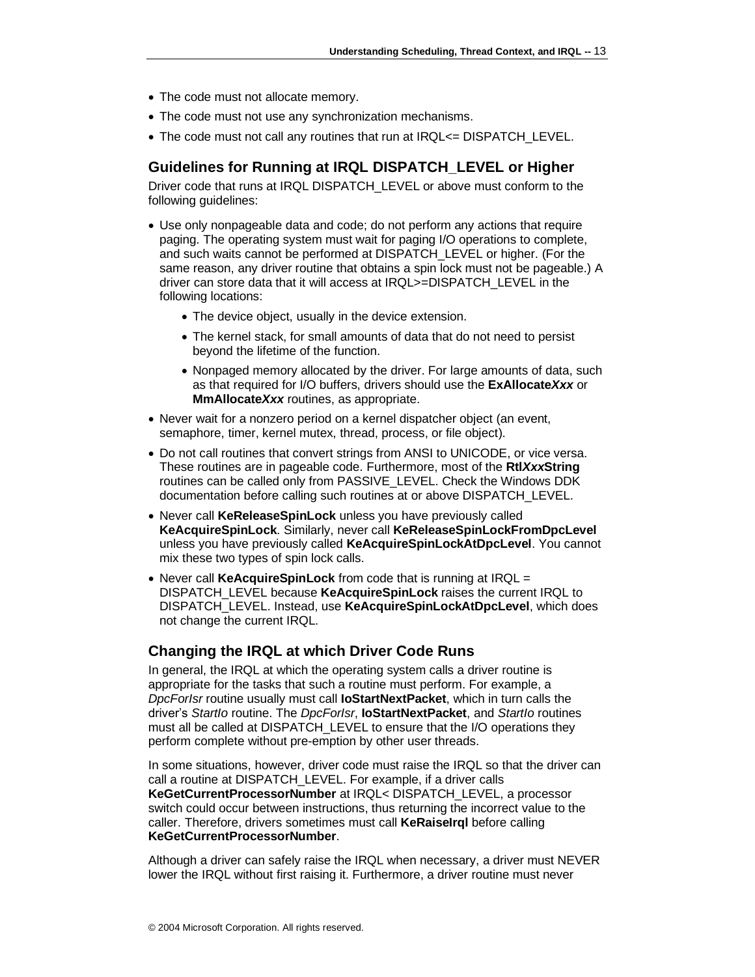- The code must not allocate memory.
- The code must not use any synchronization mechanisms.
- The code must not call any routines that run at IRQL<= DISPATCH\_LEVEL.

### <span id="page-12-0"></span>**Guidelines for Running at IRQL DISPATCH\_LEVEL or Higher**

Driver code that runs at IRQL DISPATCH\_LEVEL or above must conform to the following guidelines:

- Use only nonpageable data and code; do not perform any actions that require paging. The operating system must wait for paging I/O operations to complete, and such waits cannot be performed at DISPATCH\_LEVEL or higher. (For the same reason, any driver routine that obtains a spin lock must not be pageable.) A driver can store data that it will access at IRQL>=DISPATCH\_LEVEL in the following locations:
	- The device object, usually in the device extension.
	- The kernel stack, for small amounts of data that do not need to persist beyond the lifetime of the function.
	- Nonpaged memory allocated by the driver. For large amounts of data, such as that required for I/O buffers, drivers should use the **ExAllocate***Xxx* or **MmAllocate***Xxx* routines, as appropriate.
- Never wait for a nonzero period on a kernel dispatcher object (an event, semaphore, timer, kernel mutex, thread, process, or file object).
- Do not call routines that convert strings from ANSI to UNICODE, or vice versa. These routines are in pageable code. Furthermore, most of the **Rtl***Xxx***String** routines can be called only from PASSIVE\_LEVEL. Check the Windows DDK documentation before calling such routines at or above DISPATCH\_LEVEL.
- Never call **KeReleaseSpinLock** unless you have previously called **KeAcquireSpinLock**. Similarly, never call **KeReleaseSpinLockFromDpcLevel** unless you have previously called **KeAcquireSpinLockAtDpcLevel**. You cannot mix these two types of spin lock calls.
- Never call **KeAcquireSpinLock** from code that is running at IRQL = DISPATCH\_LEVEL because **KeAcquireSpinLock** raises the current IRQL to DISPATCH\_LEVEL. Instead, use **KeAcquireSpinLockAtDpcLevel**, which does not change the current IRQL.

### <span id="page-12-1"></span>**Changing the IRQL at which Driver Code Runs**

In general, the IRQL at which the operating system calls a driver routine is appropriate for the tasks that such a routine must perform. For example, a *DpcForIsr* routine usually must call **IoStartNextPacket**, which in turn calls the driver's *StartIo* routine. The *DpcForIsr*, **IoStartNextPacket**, and *StartIo* routines must all be called at DISPATCH\_LEVEL to ensure that the I/O operations they perform complete without pre-emption by other user threads.

In some situations, however, driver code must raise the IRQL so that the driver can call a routine at DISPATCH\_LEVEL. For example, if a driver calls **KeGetCurrentProcessorNumber** at IRQL< DISPATCH\_LEVEL, a processor switch could occur between instructions, thus returning the incorrect value to the caller. Therefore, drivers sometimes must call **KeRaiseIrql** before calling **KeGetCurrentProcessorNumber**.

Although a driver can safely raise the IRQL when necessary, a driver must NEVER lower the IRQL without first raising it. Furthermore, a driver routine must never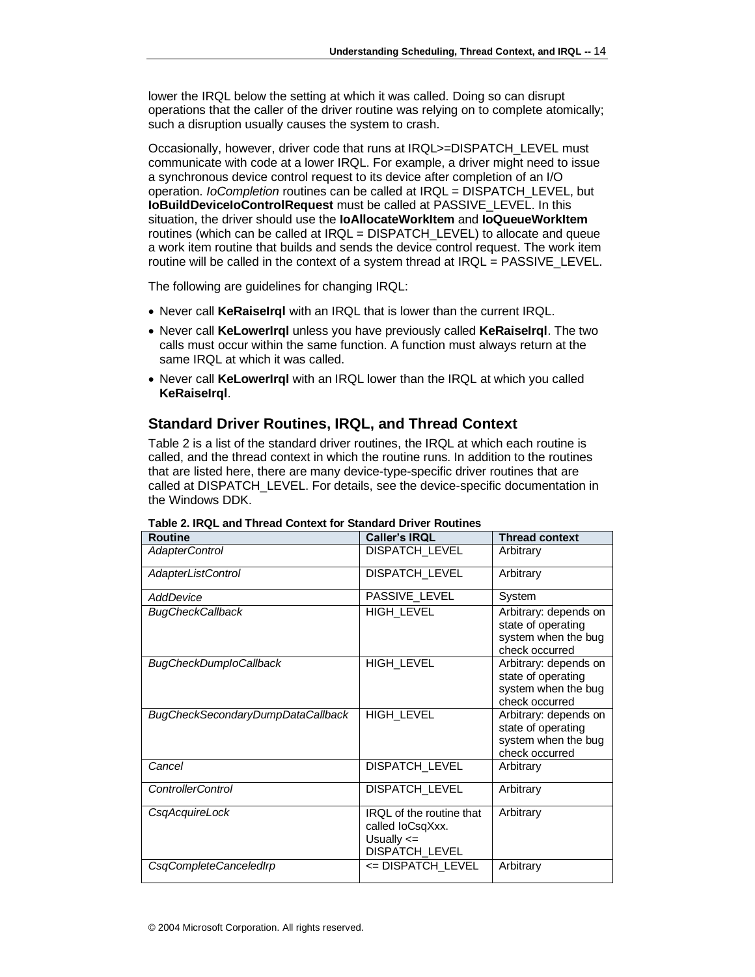lower the IRQL below the setting at which it was called. Doing so can disrupt operations that the caller of the driver routine was relying on to complete atomically; such a disruption usually causes the system to crash.

Occasionally, however, driver code that runs at IRQL>=DISPATCH\_LEVEL must communicate with code at a lower IRQL. For example, a driver might need to issue a synchronous device control request to its device after completion of an I/O operation. *IoCompletion* routines can be called at IRQL = DISPATCH\_LEVEL, but **IoBuildDeviceIoControlRequest** must be called at PASSIVE\_LEVEL. In this situation, the driver should use the **IoAllocateWorkItem** and **IoQueueWorkItem** routines (which can be called at IRQL = DISPATCH\_LEVEL) to allocate and queue a work item routine that builds and sends the device control request. The work item routine will be called in the context of a system thread at IRQL = PASSIVE\_LEVEL.

The following are guidelines for changing IRQL:

- Never call **KeRaiseIrql** with an IRQL that is lower than the current IRQL.
- Never call **KeLowerIrql** unless you have previously called **KeRaiseIrql**. The two calls must occur within the same function. A function must always return at the same IRQL at which it was called.
- Never call **KeLowerIrql** with an IRQL lower than the IRQL at which you called **KeRaiseIrql**.

### <span id="page-13-0"></span>**Standard Driver Routines, IRQL, and Thread Context**

Table 2 is a list of the standard driver routines, the IRQL at which each routine is called, and the thread context in which the routine runs. In addition to the routines that are listed here, there are many device-type-specific driver routines that are called at DISPATCH\_LEVEL. For details, see the device-specific documentation in the Windows DDK.

| Routine                           | <b>Caller's IRQL</b>                                                                    | <b>Thread context</b>                                                                |
|-----------------------------------|-----------------------------------------------------------------------------------------|--------------------------------------------------------------------------------------|
| <b>AdapterControl</b>             | DISPATCH_LEVEL                                                                          | Arbitrary                                                                            |
| <b>AdapterListControl</b>         | DISPATCH_LEVEL                                                                          | Arbitrary                                                                            |
| AddDevice                         | PASSIVE_LEVEL                                                                           | System                                                                               |
| <b>BugCheckCallback</b>           | HIGH_LEVEL                                                                              | Arbitrary: depends on<br>state of operating<br>system when the bug<br>check occurred |
| <b>BugCheckDumploCallback</b>     | HIGH_LEVEL                                                                              | Arbitrary: depends on<br>state of operating<br>system when the bug<br>check occurred |
| BugCheckSecondaryDumpDataCallback | HIGH_LEVEL                                                                              | Arbitrary: depends on<br>state of operating<br>system when the bug<br>check occurred |
| Cancel                            | <b>DISPATCH_LEVEL</b>                                                                   | Arbitrary                                                                            |
| <b>ControllerControl</b>          | <b>DISPATCH_LEVEL</b>                                                                   | Arbitrary                                                                            |
| CsgAcquireLock                    | <b>IROL</b> of the routine that<br>called loCsqXxx.<br>Usually $\leq$<br>DISPATCH_LEVEL | Arbitrary                                                                            |
| CsqCompleteCanceledIrp            | <= DISPATCH_LEVEL                                                                       | Arbitrary                                                                            |

**Table 2. IRQL and Thread Context for Standard Driver Routines**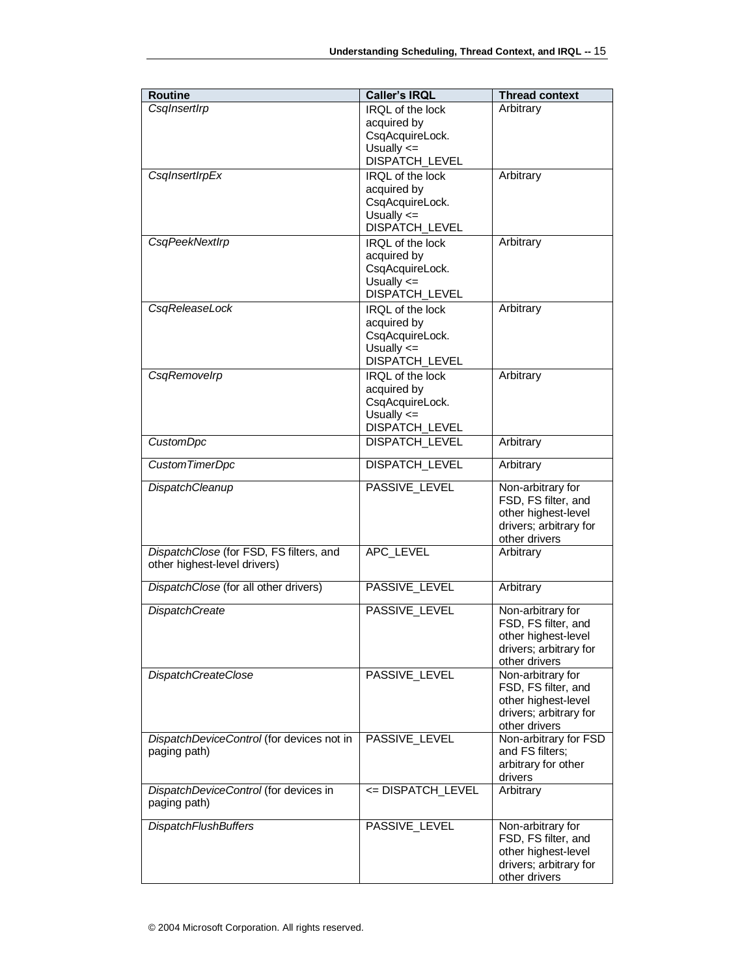| <b>Routine</b>                            | <b>Caller's IRQL</b>             | <b>Thread context</b>                         |
|-------------------------------------------|----------------------------------|-----------------------------------------------|
| CsqInsertIrp                              | IRQL of the lock                 | Arbitrary                                     |
|                                           | acquired by                      |                                               |
|                                           | CsqAcquireLock.                  |                                               |
|                                           | Usually $\leq$<br>DISPATCH_LEVEL |                                               |
| CsqInsertIrpEx                            | IRQL of the lock                 | Arbitrary                                     |
|                                           | acquired by                      |                                               |
|                                           | CsqAcquireLock.                  |                                               |
|                                           | Usually $\leq$                   |                                               |
|                                           | DISPATCH_LEVEL                   |                                               |
| <b>CsgPeekNextIrp</b>                     | IRQL of the lock                 | Arbitrary                                     |
|                                           | acquired by<br>CsqAcquireLock.   |                                               |
|                                           | Usually $\leq$                   |                                               |
|                                           | DISPATCH_LEVEL                   |                                               |
| CsqReleaseLock                            | IRQL of the lock                 | Arbitrary                                     |
|                                           | acquired by                      |                                               |
|                                           | CsqAcquireLock.                  |                                               |
|                                           | Usually $\leq$<br>DISPATCH_LEVEL |                                               |
| CsqRemovelrp                              | IRQL of the lock                 | Arbitrary                                     |
|                                           | acquired by                      |                                               |
|                                           | CsqAcquireLock.                  |                                               |
|                                           | Usually $\leq$                   |                                               |
|                                           | DISPATCH_LEVEL                   |                                               |
| <b>CustomDpc</b>                          | <b>DISPATCH_LEVEL</b>            | Arbitrary                                     |
| Custom TimerDpc                           | DISPATCH_LEVEL                   | Arbitrary                                     |
| <b>DispatchCleanup</b>                    | PASSIVE_LEVEL                    | Non-arbitrary for                             |
|                                           |                                  | FSD, FS filter, and                           |
|                                           |                                  | other highest-level<br>drivers; arbitrary for |
|                                           |                                  | other drivers                                 |
| DispatchClose (for FSD, FS filters, and   | APC LEVEL                        | Arbitrary                                     |
| other highest-level drivers)              |                                  |                                               |
| DispatchClose (for all other drivers)     | PASSIVE_LEVEL                    | Arbitrary                                     |
|                                           | PASSIVE_LEVEL                    |                                               |
| <b>DispatchCreate</b>                     |                                  | Non-arbitrary for<br>FSD, FS filter, and      |
|                                           |                                  | other highest-level                           |
|                                           |                                  | drivers; arbitrary for                        |
|                                           |                                  | other drivers                                 |
| <b>DispatchCreateClose</b>                | PASSIVE_LEVEL                    | Non-arbitrary for                             |
|                                           |                                  | FSD, FS filter, and<br>other highest-level    |
|                                           |                                  | drivers; arbitrary for                        |
|                                           |                                  | other drivers                                 |
| DispatchDeviceControl (for devices not in | PASSIVE_LEVEL                    | Non-arbitrary for FSD                         |
| paging path)                              |                                  | and FS filters;<br>arbitrary for other        |
|                                           |                                  | drivers                                       |
| DispatchDeviceControl (for devices in     | <= DISPATCH_LEVEL                | Arbitrary                                     |
| paging path)                              |                                  |                                               |
| <b>DispatchFlushBuffers</b>               | PASSIVE_LEVEL                    | Non-arbitrary for                             |
|                                           |                                  | FSD, FS filter, and                           |
|                                           |                                  | other highest-level                           |
|                                           |                                  | drivers; arbitrary for                        |
|                                           |                                  | other drivers                                 |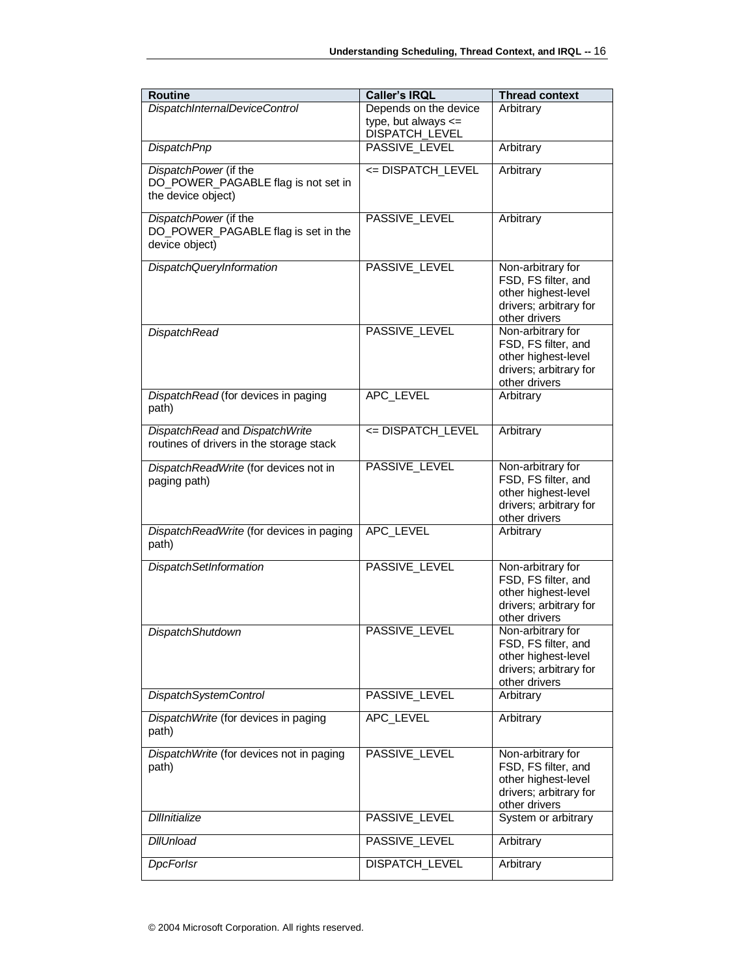| <b>Routine</b>                                                                     | <b>Caller's IRQL</b>                                               | <b>Thread context</b>                                                                                      |
|------------------------------------------------------------------------------------|--------------------------------------------------------------------|------------------------------------------------------------------------------------------------------------|
| <b>DispatchInternalDeviceControl</b>                                               | Depends on the device<br>type, but always $\leq$<br>DISPATCH_LEVEL | Arbitrary                                                                                                  |
| <b>DispatchPnp</b>                                                                 | PASSIVE_LEVEL                                                      | Arbitrary                                                                                                  |
| DispatchPower (if the<br>DO_POWER_PAGABLE flag is not set in<br>the device object) | <= DISPATCH_LEVEL                                                  | Arbitrary                                                                                                  |
| DispatchPower (if the<br>DO_POWER_PAGABLE flag is set in the<br>device object)     | PASSIVE_LEVEL                                                      | Arbitrary                                                                                                  |
| <b>DispatchQueryInformation</b>                                                    | PASSIVE_LEVEL                                                      | Non-arbitrary for<br>FSD, FS filter, and<br>other highest-level<br>drivers; arbitrary for<br>other drivers |
| <b>DispatchRead</b>                                                                | PASSIVE_LEVEL                                                      | Non-arbitrary for<br>FSD, FS filter, and<br>other highest-level<br>drivers; arbitrary for<br>other drivers |
| DispatchRead (for devices in paging<br>path)                                       | APC LEVEL                                                          | Arbitrary                                                                                                  |
| DispatchRead and DispatchWrite<br>routines of drivers in the storage stack         | <= DISPATCH_LEVEL                                                  | Arbitrary                                                                                                  |
| DispatchReadWrite (for devices not in<br>paging path)                              | PASSIVE_LEVEL                                                      | Non-arbitrary for<br>FSD, FS filter, and<br>other highest-level<br>drivers; arbitrary for<br>other drivers |
| DispatchReadWrite (for devices in paging<br>path)                                  | APC_LEVEL                                                          | Arbitrary                                                                                                  |
| <b>DispatchSetInformation</b>                                                      | PASSIVE_LEVEL                                                      | Non-arbitrary for<br>FSD, FS filter, and<br>other highest-level<br>drivers; arbitrary for<br>other drivers |
| <b>DispatchShutdown</b>                                                            | PASSIVE_LEVEL                                                      | Non-arbitrary for<br>FSD, FS filter, and<br>other highest-level<br>drivers; arbitrary for<br>other drivers |
| <b>DispatchSystemControl</b>                                                       | PASSIVE_LEVEL                                                      | Arbitrary                                                                                                  |
| DispatchWrite (for devices in paging<br>path)                                      | APC LEVEL                                                          | Arbitrary                                                                                                  |
| DispatchWrite (for devices not in paging<br>path)                                  | PASSIVE_LEVEL                                                      | Non-arbitrary for<br>FSD, FS filter, and<br>other highest-level<br>drivers; arbitrary for<br>other drivers |
| <b>Dillnitialize</b>                                                               | PASSIVE_LEVEL                                                      | System or arbitrary                                                                                        |
| <b>DIIUnload</b>                                                                   | PASSIVE_LEVEL                                                      | Arbitrary                                                                                                  |
| <b>DpcForlsr</b>                                                                   | DISPATCH_LEVEL                                                     | Arbitrary                                                                                                  |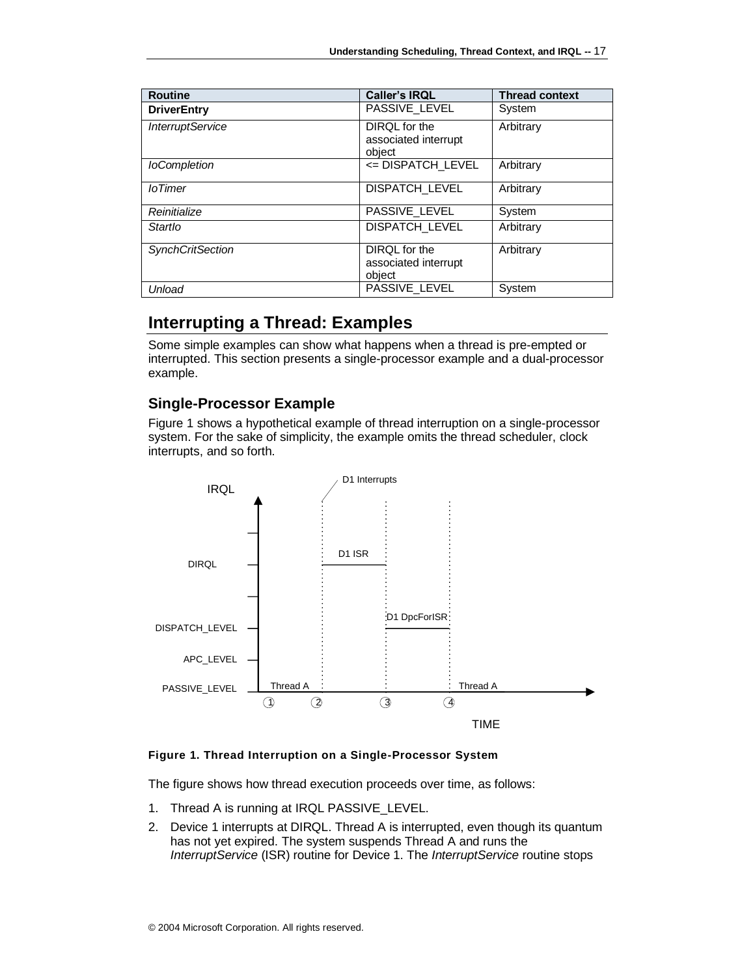| <b>Routine</b>          | <b>Caller's IRQL</b>                            | <b>Thread context</b> |
|-------------------------|-------------------------------------------------|-----------------------|
| <b>DriverEntry</b>      | PASSIVE_LEVEL                                   | System                |
| <b>InterruptService</b> | DIROL for the<br>associated interrupt<br>object | Arbitrary             |
| <b>loCompletion</b>     | <= DISPATCH_LEVEL                               | Arbitrary             |
| <i>loTimer</i>          | DISPATCH_LEVEL                                  | Arbitrary             |
| Reinitialize            | PASSIVE_LEVEL                                   | System                |
| Startlo                 | <b>DISPATCH_LEVEL</b>                           | Arbitrary             |
| <b>SynchCritSection</b> | DIRQL for the<br>associated interrupt<br>object | Arbitrary             |
| Unload                  | PASSIVE LEVEL                                   | System                |

# <span id="page-16-0"></span>**Interrupting a Thread: Examples**

Some simple examples can show what happens when a thread is pre-empted or interrupted. This section presents a single-processor example and a dual-processor example.

### <span id="page-16-1"></span>**Single-Processor Example**

Figure 1 shows a hypothetical example of thread interruption on a single-processor system. For the sake of simplicity, the example omits the thread scheduler, clock interrupts, and so forth.



### **Figure 1. Thread Interruption on a Single-Processor System**

The figure shows how thread execution proceeds over time, as follows:

- 1. Thread A is running at IRQL PASSIVE\_LEVEL.
- 2. Device 1 interrupts at DIRQL. Thread A is interrupted, even though its quantum has not yet expired. The system suspends Thread A and runs the *InterruptService* (ISR) routine for Device 1. The *InterruptService* routine stops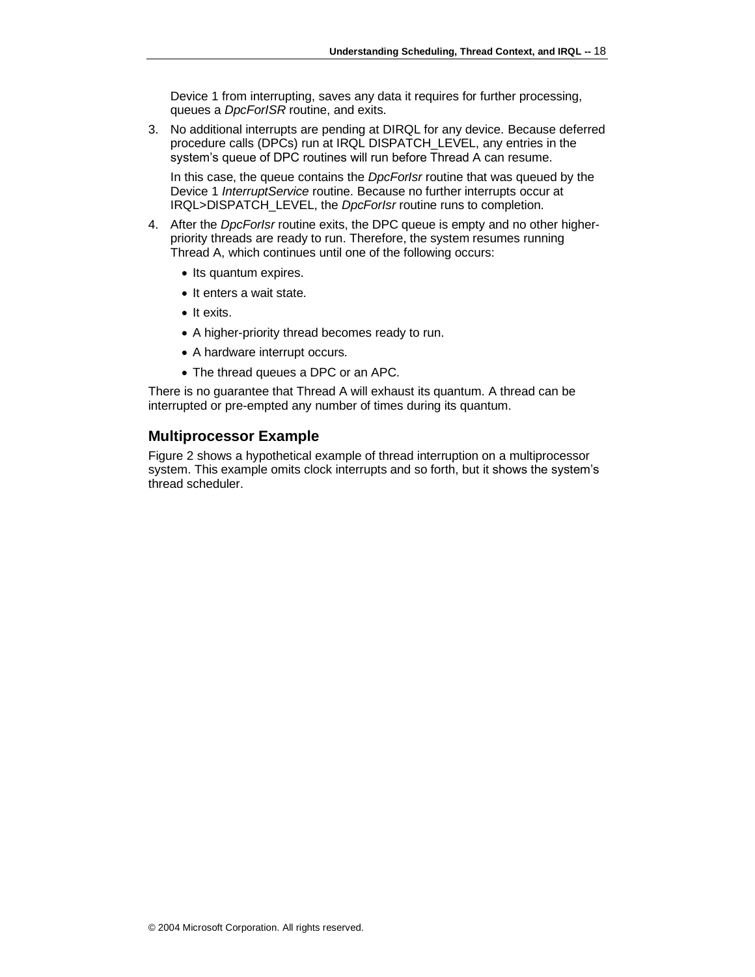Device 1 from interrupting, saves any data it requires for further processing, queues a *DpcForISR* routine, and exits.

3. No additional interrupts are pending at DIRQL for any device. Because deferred procedure calls (DPCs) run at IRQL DISPATCH\_LEVEL, any entries in the system's queue of DPC routines will run before Thread A can resume.

In this case, the queue contains the *DpcForIsr* routine that was queued by the Device 1 *InterruptService* routine. Because no further interrupts occur at IRQL>DISPATCH\_LEVEL, the *DpcForIsr* routine runs to completion.

- 4. After the *DpcForIsr* routine exits, the DPC queue is empty and no other higherpriority threads are ready to run. Therefore, the system resumes running Thread A, which continues until one of the following occurs:
	- Its quantum expires.
	- It enters a wait state.
	- It exits.
	- A higher-priority thread becomes ready to run.
	- A hardware interrupt occurs.
	- The thread queues a DPC or an APC.

There is no guarantee that Thread A will exhaust its quantum. A thread can be interrupted or pre-empted any number of times during its quantum.

### <span id="page-17-0"></span>**Multiprocessor Example**

Figure 2 shows a hypothetical example of thread interruption on a multiprocessor system. This example omits clock interrupts and so forth, but it shows the system's thread scheduler.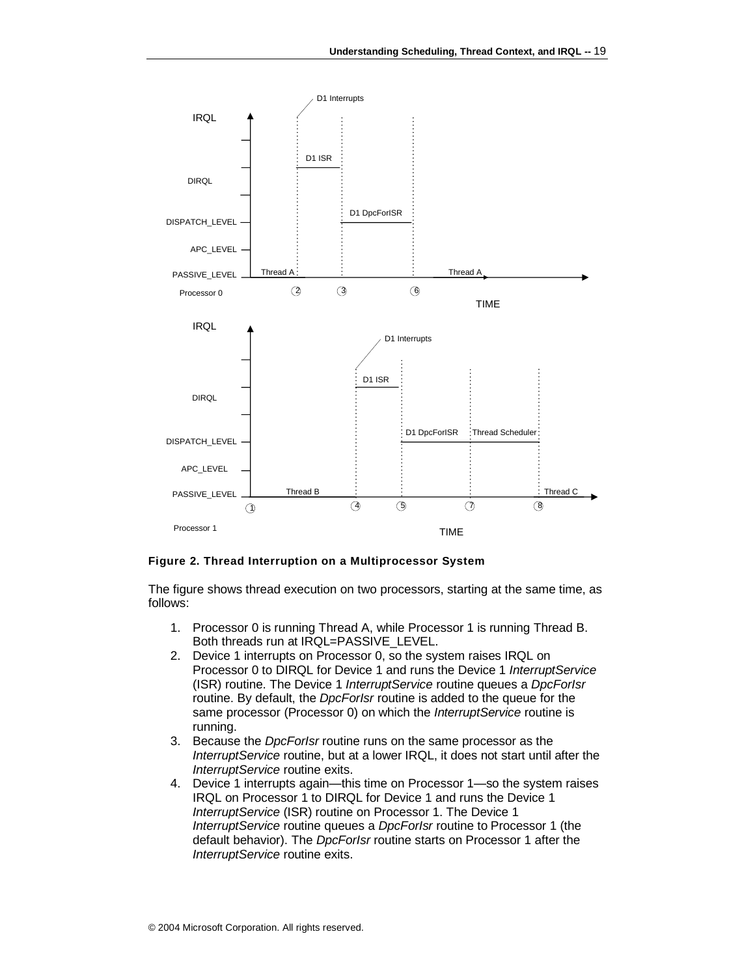

#### **Figure 2. Thread Interruption on a Multiprocessor System**

The figure shows thread execution on two processors, starting at the same time, as follows:

- 1. Processor 0 is running Thread A, while Processor 1 is running Thread B. Both threads run at IRQL=PASSIVE\_LEVEL.
- 2. Device 1 interrupts on Processor 0, so the system raises IRQL on Processor 0 to DIRQL for Device 1 and runs the Device 1 *InterruptService* (ISR) routine. The Device 1 *InterruptService* routine queues a *DpcForIsr* routine. By default, the *DpcForIsr* routine is added to the queue for the same processor (Processor 0) on which the *InterruptService* routine is running.
- 3. Because the *DpcForIsr* routine runs on the same processor as the *InterruptService* routine, but at a lower IRQL, it does not start until after the *InterruptService* routine exits.
- 4. Device 1 interrupts again—this time on Processor 1—so the system raises IRQL on Processor 1 to DIRQL for Device 1 and runs the Device 1 *InterruptService* (ISR) routine on Processor 1. The Device 1 *InterruptService* routine queues a *DpcForIsr* routine to Processor 1 (the default behavior). The *DpcForIsr* routine starts on Processor 1 after the *InterruptService* routine exits.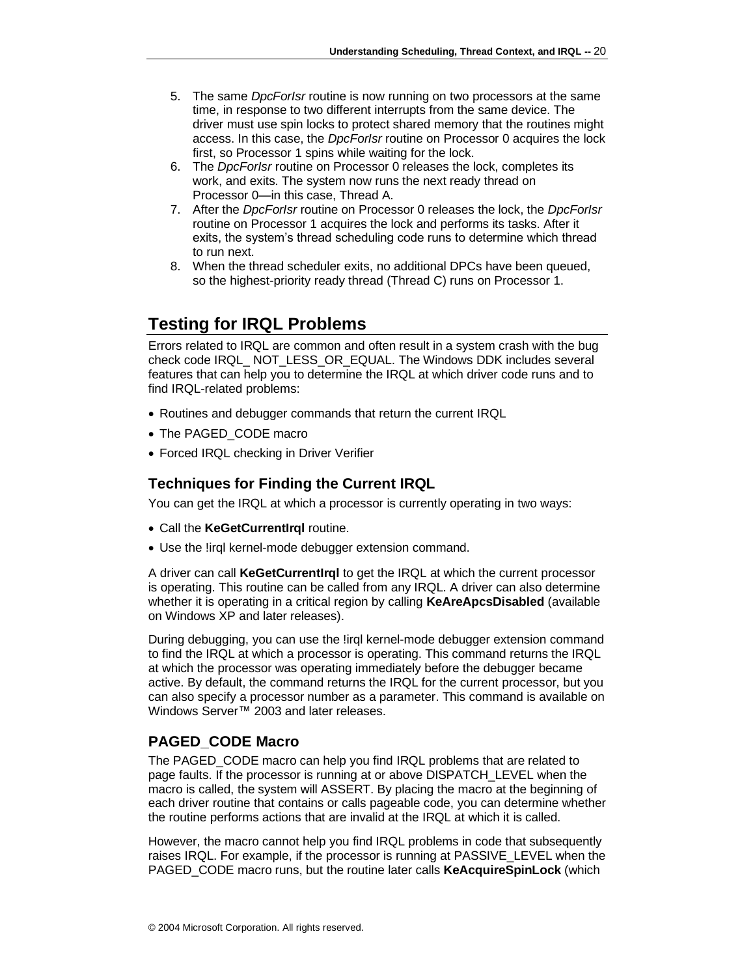- 5. The same *DpcForIsr* routine is now running on two processors at the same time, in response to two different interrupts from the same device. The driver must use spin locks to protect shared memory that the routines might access. In this case, the *DpcForIsr* routine on Processor 0 acquires the lock first, so Processor 1 spins while waiting for the lock.
- 6. The *DpcForIsr* routine on Processor 0 releases the lock, completes its work, and exits. The system now runs the next ready thread on Processor 0—in this case, Thread A.
- 7. After the *DpcForIsr* routine on Processor 0 releases the lock, the *DpcForIsr* routine on Processor 1 acquires the lock and performs its tasks. After it exits, the system's thread scheduling code runs to determine which thread to run next.
- 8. When the thread scheduler exits, no additional DPCs have been queued, so the highest-priority ready thread (Thread C) runs on Processor 1.

# <span id="page-19-0"></span>**Testing for IRQL Problems**

Errors related to IRQL are common and often result in a system crash with the bug check code IRQL\_ NOT\_LESS\_OR\_EQUAL. The Windows DDK includes several features that can help you to determine the IRQL at which driver code runs and to find IRQL-related problems:

- Routines and debugger commands that return the current IRQL
- The PAGED CODE macro
- Forced IRQL checking in Driver Verifier

## <span id="page-19-1"></span>**Techniques for Finding the Current IRQL**

You can get the IRQL at which a processor is currently operating in two ways:

- Call the **KeGetCurrentIrql** routine.
- Use the !irql kernel-mode debugger extension command.

A driver can call **KeGetCurrentIrql** to get the IRQL at which the current processor is operating. This routine can be called from any IRQL. A driver can also determine whether it is operating in a critical region by calling **KeAreApcsDisabled** (available on Windows XP and later releases).

During debugging, you can use the !irql kernel-mode debugger extension command to find the IRQL at which a processor is operating. This command returns the IRQL at which the processor was operating immediately before the debugger became active. By default, the command returns the IRQL for the current processor, but you can also specify a processor number as a parameter. This command is available on Windows Server™ 2003 and later releases.

### <span id="page-19-2"></span>**PAGED\_CODE Macro**

The PAGED CODE macro can help you find IRQL problems that are related to page faults. If the processor is running at or above DISPATCH\_LEVEL when the macro is called, the system will ASSERT. By placing the macro at the beginning of each driver routine that contains or calls pageable code, you can determine whether the routine performs actions that are invalid at the IRQL at which it is called.

However, the macro cannot help you find IRQL problems in code that subsequently raises IRQL. For example, if the processor is running at PASSIVE\_LEVEL when the PAGED\_CODE macro runs, but the routine later calls **KeAcquireSpinLock** (which